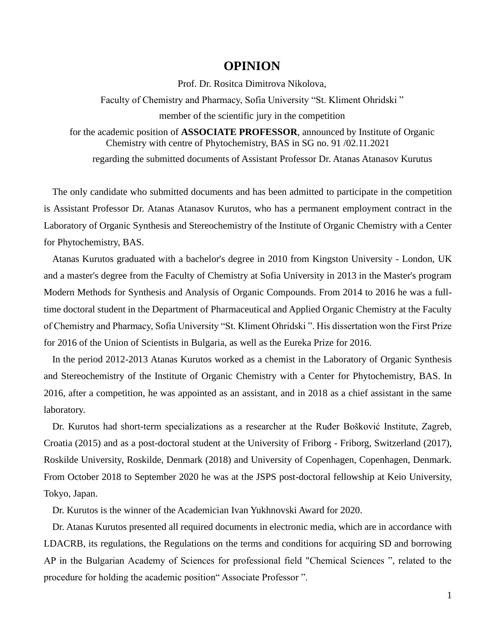## **OPINION**

Prof. Dr. Rositca Dimitrova Nikolova,

Faculty of Chemistry and Pharmacy, Sofia University "St. Kliment Ohridski " member of the scientific jury in the competition

for the academic position of **ASSOCIATE PROFESSOR**, announced by Institute of Organic Chemistry with centre of Phytochemistry, BAS in SG no. 91 /02.11.2021

regarding the submitted documents of Assistant Professor Dr. Atanas Atanasov Kurutus

The only candidate who submitted documents and has been admitted to participate in the competition is Assistant Professor Dr. Atanas Atanasov Kurutos, who has a permanent employment contract in the Laboratory of Organic Synthesis and Stereochemistry of the Institute of Organic Chemistry with a Center for Phytochemistry, BAS.

Atanas Kurutos graduated with a bachelor's degree in 2010 from Kingston University - London, UK and a master's degree from the Faculty of Chemistry at Sofia University in 2013 in the Master's program Modern Methods for Synthesis and Analysis of Organic Compounds. From 2014 to 2016 he was a fulltime doctoral student in the Department of Pharmaceutical and Applied Organic Chemistry at the Faculty of Chemistry and Pharmacy, Sofia University "St. Kliment Ohridski ". His dissertation won the First Prize for 2016 of the Union of Scientists in Bulgaria, as well as the Eureka Prize for 2016.

In the period 2012-2013 Atanas Kurutos worked as a chemist in the Laboratory of Organic Synthesis and Stereochemistry of the Institute of Organic Chemistry with a Center for Phytochemistry, BAS. In 2016, after a competition, he was appointed as an assistant, and in 2018 as a chief assistant in the same laboratory.

Dr. Kurutos had short-term specializations as a researcher at the Ruđer Bošković Institute, Zagreb, Croatia (2015) and as a post-doctoral student at the University of Friborg - Friborg, Switzerland (2017), Roskilde University, Roskilde, Denmark (2018) and University of Copenhagen, Copenhagen, Denmark. From October 2018 to September 2020 he was at the JSPS post-doctoral fellowship at Keio University, Tokyo, Japan.

Dr. Kurutos is the winner of the Academician Ivan Yukhnovski Award for 2020.

Dr. Atanas Kurutos presented all required documents in electronic media, which are in accordance with LDACRB, its regulations, the Regulations on the terms and conditions for acquiring SD and borrowing AP in the Bulgarian Academy of Sciences for professional field "Chemical Sciences ", related to the procedure for holding the academic position" Associate Professor ".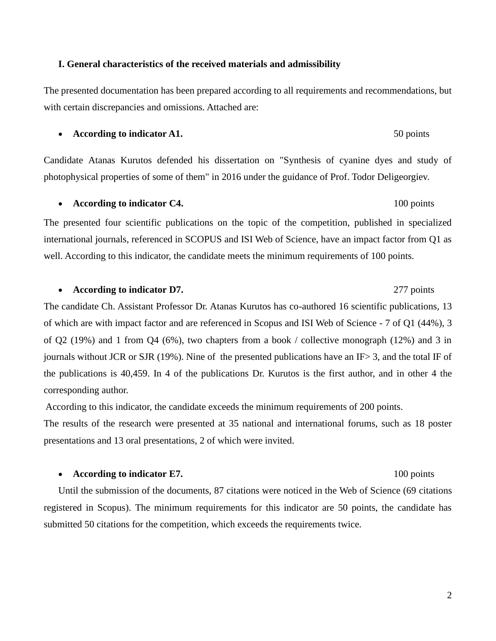# **I. General characteristics of the received materials and admissibility**

The presented documentation has been prepared according to all requirements and recommendations, but with certain discrepancies and omissions. Attached are:

# **According to indicator A1.** 50 points

Candidate Atanas Kurutos defended his dissertation on "Synthesis of cyanine dyes and study of photophysical properties of some of them" in 2016 under the guidance of Prof. Todor Deligeorgiev.

## • **According to indicator C4.** 100 points

The presented four scientific publications on the topic of the competition, published in specialized international journals, referenced in SCOPUS and ISI Web of Science, have an impact factor from Q1 as well. According to this indicator, the candidate meets the minimum requirements of 100 points.

### • **According to indicator D7.** 277 points

The candidate Ch. Assistant Professor Dr. Atanas Kurutos has co-authored 16 scientific publications, 13 of which are with impact factor and are referenced in Scopus and ISI Web of Science - 7 of Q1 (44%), 3 of Q2 (19%) and 1 from Q4 (6%), two chapters from a book / collective monograph (12%) and 3 in journals without JCR or SJR (19%). Nine of the presented publications have an IF> 3, and the total IF of the publications is 40,459. In 4 of the publications Dr. Kurutos is the first author, and in other 4 the corresponding author.

According to this indicator, the candidate exceeds the minimum requirements of 200 points.

The results of the research were presented at 35 national and international forums, such as 18 poster presentations and 13 oral presentations, 2 of which were invited.

# • **According to indicator E7.** 100 points

Until the submission of the documents, 87 citations were noticed in the Web of Science (69 citations registered in Scopus). The minimum requirements for this indicator are 50 points, the candidate has submitted 50 citations for the competition, which exceeds the requirements twice.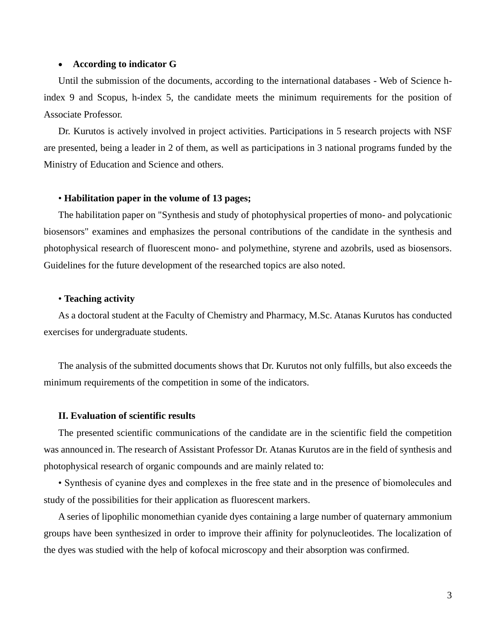### • **According to indicator G**

Until the submission of the documents, according to the international databases - Web of Science hindex 9 and Scopus, h-index 5, the candidate meets the minimum requirements for the position of Associate Professor.

Dr. Kurutos is actively involved in project activities. Participations in 5 research projects with NSF are presented, being a leader in 2 of them, as well as participations in 3 national programs funded by the Ministry of Education and Science and others.

### • **Habilitation paper in the volume of 13 pages;**

The habilitation paper on "Synthesis and study of photophysical properties of mono- and polycationic biosensors" examines and emphasizes the personal contributions of the candidate in the synthesis and photophysical research of fluorescent mono- and polymethine, styrene and azobrils, used as biosensors. Guidelines for the future development of the researched topics are also noted.

### • **Teaching activity**

As a doctoral student at the Faculty of Chemistry and Pharmacy, M.Sc. Atanas Kurutos has conducted exercises for undergraduate students.

The analysis of the submitted documents shows that Dr. Kurutos not only fulfills, but also exceeds the minimum requirements of the competition in some of the indicators.

### **II. Evaluation of scientific results**

The presented scientific communications of the candidate are in the scientific field the competition was announced in. The research of Assistant Professor Dr. Atanas Kurutos are in the field of synthesis and photophysical research of organic compounds and are mainly related to:

• Synthesis of cyanine dyes and complexes in the free state and in the presence of biomolecules and study of the possibilities for their application as fluorescent markers.

A series of lipophilic monomethian cyanide dyes containing a large number of quaternary ammonium groups have been synthesized in order to improve their affinity for polynucleotides. The localization of the dyes was studied with the help of kofocal microscopy and their absorption was confirmed.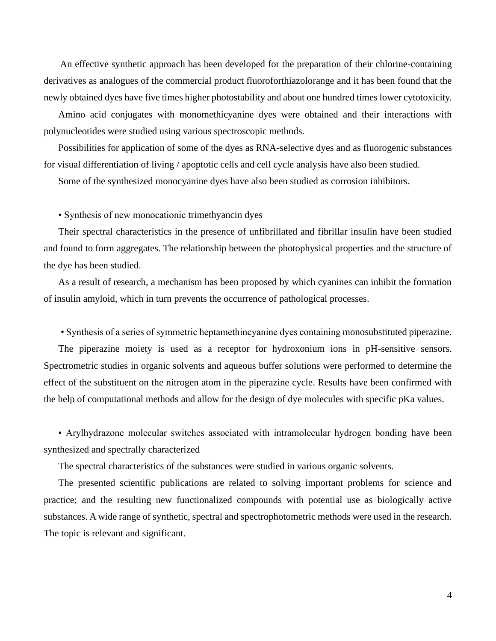An effective synthetic approach has been developed for the preparation of their chlorine-containing derivatives as analogues of the commercial product fluoroforthiazolorange and it has been found that the newly obtained dyes have five times higher photostability and about one hundred times lower cytotoxicity.

Amino acid conjugates with monomethicyanine dyes were obtained and their interactions with polynucleotides were studied using various spectroscopic methods.

Possibilities for application of some of the dyes as RNA-selective dyes and as fluorogenic substances for visual differentiation of living / apoptotic cells and cell cycle analysis have also been studied.

Some of the synthesized monocyanine dyes have also been studied as corrosion inhibitors.

• Synthesis of new monocationic trimethyancin dyes

Their spectral characteristics in the presence of unfibrillated and fibrillar insulin have been studied and found to form aggregates. The relationship between the photophysical properties and the structure of the dye has been studied.

As a result of research, a mechanism has been proposed by which cyanines can inhibit the formation of insulin amyloid, which in turn prevents the occurrence of pathological processes.

• Synthesis of a series of symmetric heptamethincyanine dyes containing monosubstituted piperazine. The piperazine moiety is used as a receptor for hydroxonium ions in pH-sensitive sensors. Spectrometric studies in organic solvents and aqueous buffer solutions were performed to determine the effect of the substituent on the nitrogen atom in the piperazine cycle. Results have been confirmed with

the help of computational methods and allow for the design of dye molecules with specific pKa values.

• Arylhydrazone molecular switches associated with intramolecular hydrogen bonding have been synthesized and spectrally characterized

The spectral characteristics of the substances were studied in various organic solvents.

The presented scientific publications are related to solving important problems for science and practice; and the resulting new functionalized compounds with potential use as biologically active substances. A wide range of synthetic, spectral and spectrophotometric methods were used in the research. The topic is relevant and significant.